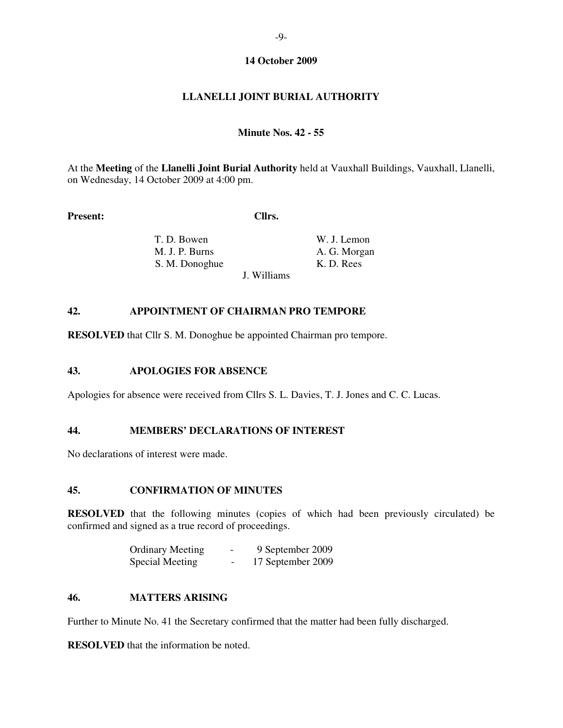## **14 October 2009**

# **LLANELLI JOINT BURIAL AUTHORITY**

#### **Minute Nos. 42 - 55**

At the **Meeting** of the **Llanelli Joint Burial Authority** held at Vauxhall Buildings, Vauxhall, Llanelli, on Wednesday, 14 October 2009 at 4:00 pm.

Present: Cllrs.

J. Williams

**T. D. Bowen** W. J. Lemon M. J. P. Burns A. G. Morgan S. M. Donoghue K. D. Rees

#### **42. APPOINTMENT OF CHAIRMAN PRO TEMPORE**

**RESOLVED** that Cllr S. M. Donoghue be appointed Chairman pro tempore.

# **43. APOLOGIES FOR ABSENCE**

Apologies for absence were received from Cllrs S. L. Davies, T. J. Jones and C. C. Lucas.

### **44. MEMBERS' DECLARATIONS OF INTEREST**

No declarations of interest were made.

#### **45. CONFIRMATION OF MINUTES**

**RESOLVED** that the following minutes (copies of which had been previously circulated) be confirmed and signed as a true record of proceedings.

| <b>Ordinary Meeting</b> | $\overline{\phantom{0}}$ | 9 September 2009  |
|-------------------------|--------------------------|-------------------|
| Special Meeting         | $\overline{\phantom{0}}$ | 17 September 2009 |

# **46. MATTERS ARISING**

Further to Minute No. 41 the Secretary confirmed that the matter had been fully discharged.

**RESOLVED** that the information be noted.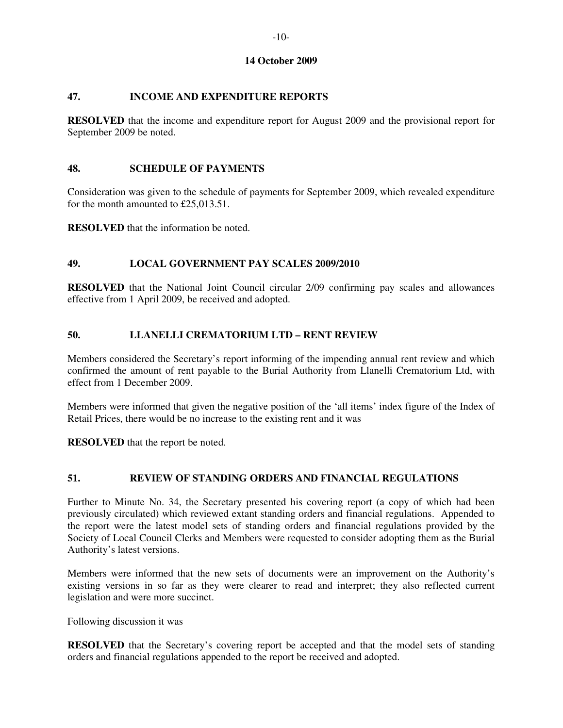# **14 October 2009**

# **47. INCOME AND EXPENDITURE REPORTS**

**RESOLVED** that the income and expenditure report for August 2009 and the provisional report for September 2009 be noted.

### **48. SCHEDULE OF PAYMENTS**

Consideration was given to the schedule of payments for September 2009, which revealed expenditure for the month amounted to £25,013.51.

**RESOLVED** that the information be noted.

# **49. LOCAL GOVERNMENT PAY SCALES 2009/2010**

**RESOLVED** that the National Joint Council circular 2/09 confirming pay scales and allowances effective from 1 April 2009, be received and adopted.

## **50. LLANELLI CREMATORIUM LTD – RENT REVIEW**

Members considered the Secretary's report informing of the impending annual rent review and which confirmed the amount of rent payable to the Burial Authority from Llanelli Crematorium Ltd, with effect from 1 December 2009.

Members were informed that given the negative position of the 'all items' index figure of the Index of Retail Prices, there would be no increase to the existing rent and it was

**RESOLVED** that the report be noted.

## **51. REVIEW OF STANDING ORDERS AND FINANCIAL REGULATIONS**

Further to Minute No. 34, the Secretary presented his covering report (a copy of which had been previously circulated) which reviewed extant standing orders and financial regulations. Appended to the report were the latest model sets of standing orders and financial regulations provided by the Society of Local Council Clerks and Members were requested to consider adopting them as the Burial Authority's latest versions.

Members were informed that the new sets of documents were an improvement on the Authority's existing versions in so far as they were clearer to read and interpret; they also reflected current legislation and were more succinct.

Following discussion it was

**RESOLVED** that the Secretary's covering report be accepted and that the model sets of standing orders and financial regulations appended to the report be received and adopted.